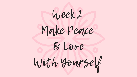Week 2 Make Peace & Love With Yourself



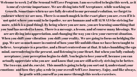Welcome to week 2 of the Sensual Self Love Program. I am so excited to begin this week, as it is one of extreme importance. We are diving into Self Acceptance, while working on Growth. Sometimes when we are fully devoted to our personal evolution, we forget to embrace where we are now. There is so much magick in the exact place you are, even if it is not quiet where you want to be (spoiler, we are humans and will ALWAYS be striving for more, which is a good thing). By being where you are now, you are learning something that you Soul has needed to know. There is a message, a lesson, and of course many blessings. We are are diving into appreciation, and changing the way you view your current situation. When you shift your vibration- you shift your reality. We are going to focus on bridging the gap. We are so much more in control of how your life unfolds than we have been taught to believe. Acceptance is a practice, and a Heart centered one at that. It takes humbling the ego mind, surrendering to the present, and listening to your Heart. But when you fully embody acceptance, your perception begins to shift. You begin to love yourself, because you can actually appreciate who you are- and know that you are still actively striving to be better. The two can, and do, coexist. This month is going to help you sort out & understand your emotions- and how they play a role in your overall Self Love Journey. Enjoy, and like always, be gentle with yourself as you move through this weeks exercises.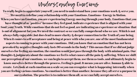Understanding Emotions

To really begin to appreciate yourself, you need to understand how your emotions work & serve you. We need to redefine your relationship with your Emotions. Emotions= Energy in Motion. When you have an Emotion, you are experiencing Energy moving through your body. Emotions that you have thought of as "positive" because they feel good, indicate experience that is aligned with your Soul/your Truth. While emotions that do not feel so good, are indicating an experience or situation that is out of alignment for you. We need the contrast so we can fully comprehend who we are. Which is not always fully enjoyable, but does lead to more clarity & deeper connection to the Truth of your being. When it comes to self acceptance and being at peace with who you are, one of the most fundamental aspects in coming to peace with your emotions. Did you know that an emotion that has not been provoked by negative thoughts only lasts 90 seconds in the body? This means thatif we did notjudge ourselves for feeling an emotion, the emotion would just pass through the body with minimal pain. Our thoughts & judgments about the emotions we feel is what causes all the pain & suffering. When we shift our perception of our emotions, we can begin to accept them, use them as tools, and ultimately begin to know ourselves better through the process. Feeling is good. It means you are alive, human & able to create. Lets look at each emotion on a scale so you can recognize whatis happening internally when you are feeling various emotions. No emotion is better than another, because they all serve a purpose in our evolution. The practice is to embrace them all, so we can fully accept ourselves.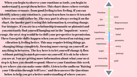| O                                     |               |             |
|---------------------------------------|---------------|-------------|
| <u>ain</u>                            |               |             |
| $\mathbf T$<br>ards                   | Freedom       |             |
| the                                   | joy           | Love        |
| ge.<br>and                            | passion       | Empowerment |
| ry"                                   |               | happiness   |
| sion.                                 | hopefulness   | belief      |
| our                                   | positivity    | permision   |
| $\overline{\mathcal{L}}$<br><b>OP</b> | impatience    | worry       |
| OW                                    | anger         |             |
| re                                    |               | jealousy    |
| ext                                   | insecurity    |             |
| eek                                   |               | guilt       |
| ising                                 | powerlessness |             |
| <b>Ins</b>                            |               |             |
| $\mathbf{L}$                          |               |             |

When you begin to observe your emotions as tools, you begin to understand & accept them better. This chart shows where certain emotions resonate, from good feeling to low feeling. If you can identify where your emotion is, you can learn how to move it towa where you would rather be. The easy part is always seeing it on chart, the harder part is using this information & creating chan For instance, if you are in a relationship (romantic or platonic) a you constantly find yourself hanging out in the "impatient / wor range, the next step would be to shift your perspective to permiss These Energetic shifts happen when you are focused on raising **y** vibration & feeling better. This may require letting things go, changing things completely, focusing more energy on yourself, anything in between. The key here is to let yourself change & flo without putting to much pressure on yourself. It is ok to be whe you are at. You are getting more information about what your next step is & how you should respond. Observe your Emotions this w & see where you can make some shifts. Listen to the audio on "Rai your Vibration through Self Love, " and then answer the Questions below to help you get a better understanding of where you are.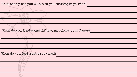When do you find yourself giving others your Power?

When do you feel most empowered?



What energizes you & leaves you feeling high vibe?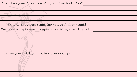### What does your ideal morning routine look like?

What is most important for you to feel content? Success, Love, Connection, or something else? Explain.

How can you shift your vibration easily?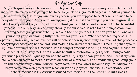### Bridge the Gap

As you begin to notice the areas in which you let your Power slip, or maybe even feel a little insecure, the medicine is going to be, to be as gentle with yourself as possible. Allow yourself to be slow flowing & know you are exactly where you are suppose to be. There is no rush to be anywhere, or anyone. You are following your path, and it has brought you here to grow.  $\blacktriangleright$  So don't worry about the pace or where you think you should be, and surrender to this beautiful process. The only way we can fully show up for ourselves, is with love & compassion. Each morning before you get out of bed, place one hand on your heart, one on your belly- and ask yourself if you can show up fully with love for your Being. When we are feeling good, and operating from our place of love, we will be able to show up more fully. So much of this process is accepting what we can not control, and making the shifts where we can. One thing that quickly up-levels our vibration is Gratitude. The feeling of gratitude is so high, and so pure, that when we feel it, and Truly feel it, we are able to shift our vibration super quick. Having a solid gratitude practice will quickly change the overall quality of how you feel, and ultimately your life. When you begin to feel the Power you hold, as a creator & as an individual just Being, your life will become fully yours. You will begin to utilize this Power in your daily life. And you will begin to feel more empowered in who you are on a physical, mental, and emotional level. Do the "Gratitude is My Attitude" Guided Meditation, and then continue with week 2.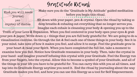# Gratitude Ritual

journal

Make sure you do the "Gratitude is My Attitude" guided meditation before you begin this ritual.

What you will need:

pen crystal of choice Sit down with your paper, pen & crystal. Open the ritual by taking 10 deep breaths & exhaling out everything that no longer serves you. Imagine each exhale is cleansing your body & opening you up to the Truth of your Love & Expansion. When you feel centered in your body open your eyes & grab your pen & paper. Write down 15 + things that you are full body grateful for. We are going to do a visualization exercise. Go through the list & feel each one of these things in your body. See it in your mind, take note of how it makes you feel, and allow it to surge. Feel the gratitude grow in your heart & raise your Spirit. When you have completed the full list, take a moment to examine how you feel. Notice how Gratitude resonates in your body. Then, take the crystal in your hand- and imagine yourself infusing this crystal with your Gratitude. Feel the Energy run from your fingers, into the crystal. Allow this to become a symbol of your Gratitude, and all of the things in your life you have to be grateful for. You can carry this with you at all times, and tap into its Gratitude Energy anytime you need it. End the ritual by journaling about the way Gratitude makes you feel, and how you can use this Energy as a tool for Self Empowerment.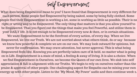Self Empowerment

What does being Empowered mean to you? I have found that Empowerment is very different for each person. Some people feel Empowered by being naked, some by being fully clothed. Some people find their Empowerment in working a lot, some in working as little as possible. Their is no right or wrong way to be Empowered. The only thing that matters is that you allow yourself to be Empowered. That you figure out the things that make you feel Powerful, and utilize them in your DAILY life. It is not enough to be Empowered every now & then, or in certain situations. We want Empowerment to be the forefront of every action, of every day. When we live Empowered, we live our Truth. We are not worried about what others think, do or say- because we know how powerful & complete we are on our own. We may look outward for opinions, but never for confirmation. We may crave attention, but never approval. This is what being Empowered feels like. Knowing you are perfectly taken care of & held, no matter what is going on in Life. Empowerment is a state of mind, a feeling & away of living. It is also a choice. When we find Empowerment in Ourselves, we become the Queen of our own lives. We sink into self appreciation & fall in alignment with our Truths. We begin to rely on ourselves rather than the praise & approval of other people. One challenging aspect for Empaths can be mixing your own energy up with other people. Listen to the "My Mood, My Power" audio and then continue week 2.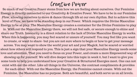## Creative Power

So much of our Creative Power stems from how we are feeling about ourselves. Our Feminine Energy is directly connected to our Creativity & Creative Power. We have to be in our Feminine Flow, allowing ourselves to move & dance through life at our own rhythm. But to achieve this level of Flow, we have to be standing deep in our Power. Which requires the Divine Masculine Energy to be at play. The Masculine Energy creates a container for the Divine Feminine to play in. With out the Masculine Energy there, we will not feel safe, or secure enough to shine and share our Truth. Insecurity is a direct relation to the lack of Divine Masculine Energy in works. When this is happening, you may feel scared or unsure of yourself. You may feel like you want to create, or want to share- but you are not sure where to begin or how to get your message across. You may want to show the world your art and your Magick, but be scared or worried about how others will respond to you. This is just a sign that your Masculine Energy needs some love and attention. That you need to focus on your Power, and create a more Empowered way of showing up for yourself. We will dive deeper into this topic in week 6, but I want to give you some tools to help you understand how your Creative & Structured Energies meet. One can not exist with out the other. Like all things in the Universe, the contrast compliments & provides for each other. With out the Masculine Energy, the Feminine cannot create. With out the Feminine, the Masculine has no purpose. Both are beautiful, and both serve us on all levels.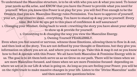To understand the Masculine structure, is to be ok with who you are & what you need. To honor your needs as the arise, and KNOW that you have the Power to provide what you need for yourself. When you know this Power is at play for you- you will feel Free enough to be the Creatrix that you are. Masculine Energy rules Permission. You have to approve of yourself, your art, your creative ideas.. everything. You have to stand up & say yes to yourself. Every time. But how do upu get to this place of confidence & self assurance?

1. Changing your Mindset. Going back to week 1 rewriting the story you have about your ability to show up & provide for yourself.

2. Connecting to & changing the way you view the Masculine Energy.

3. Owning Yourself FEARLESSLY.

Even when you feel scared or nervous, witness those Emotions, allowing them to flow in & out, and then look at the story. You are not defined by your thought or Emotions, but they give you information on where you are at, and where you want to go. Take this & map it out so you know how to feel & operate with this Power. We all have both Masculine & Feminine Energy with in us. The goal is to let them both serve us as we Grow on our path. There will be times when we are more Masculine focused, and times when we are more Feminine focused- depending on where we are at in our Life & what is going on. As long as you are feeling your Power, you will be on the right track to make massive changes in your life. Listen to the "Divine Masculine" audio and then answer the questions below.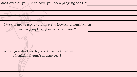In what areas can you allow the Divine Masculine to serve you, that you have not been?

What ares of your life have you been playing small?

How can you deal with your insecurities in a healthy & confronting way?

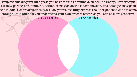Divine Feminine Divine Masculine Complete this diagram with goals you have for the Feminine & Masculine Energy. For example, art may go with the Feminine, Structure may go on the Masculine side, and Strength may go in the middle. Get creative with it & allow yourself to fully express the Energies that want to come through. This will help you understand your own process better, so you can be more proactive.